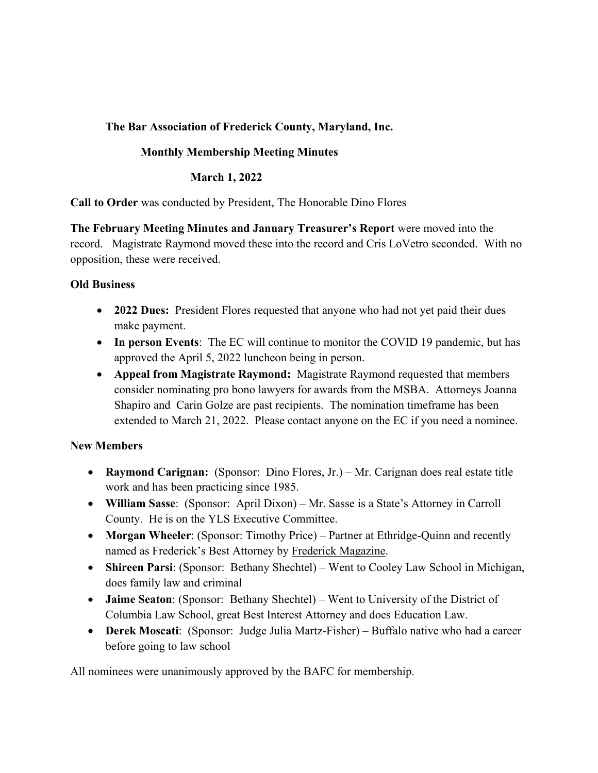# **The Bar Association of Frederick County, Maryland, Inc.**

## **Monthly Membership Meeting Minutes**

#### **March 1, 2022**

**Call to Order** was conducted by President, The Honorable Dino Flores

**The February Meeting Minutes and January Treasurer's Report** were moved into the record. Magistrate Raymond moved these into the record and Cris LoVetro seconded. With no opposition, these were received.

#### **Old Business**

- **2022 Dues:** President Flores requested that anyone who had not yet paid their dues make payment.
- **In person Events**: The EC will continue to monitor the COVID 19 pandemic, but has approved the April 5, 2022 luncheon being in person.
- **Appeal from Magistrate Raymond:** Magistrate Raymond requested that members consider nominating pro bono lawyers for awards from the MSBA. Attorneys Joanna Shapiro and Carin Golze are past recipients. The nomination timeframe has been extended to March 21, 2022. Please contact anyone on the EC if you need a nominee.

## **New Members**

- **Raymond Carignan:** (Sponsor: Dino Flores, Jr.) Mr. Carignan does real estate title work and has been practicing since 1985.
- **William Sasse**: (Sponsor: April Dixon) Mr. Sasse is a State's Attorney in Carroll County. He is on the YLS Executive Committee.
- **Morgan Wheeler**: (Sponsor: Timothy Price) Partner at Ethridge-Quinn and recently named as Frederick's Best Attorney by Frederick Magazine.
- **Shireen Parsi**: (Sponsor: Bethany Shechtel) Went to Cooley Law School in Michigan, does family law and criminal
- **Jaime Seaton**: (Sponsor: Bethany Shechtel) Went to University of the District of Columbia Law School, great Best Interest Attorney and does Education Law.
- **Derek Moscati**: (Sponsor: Judge Julia Martz-Fisher) Buffalo native who had a career before going to law school

All nominees were unanimously approved by the BAFC for membership.